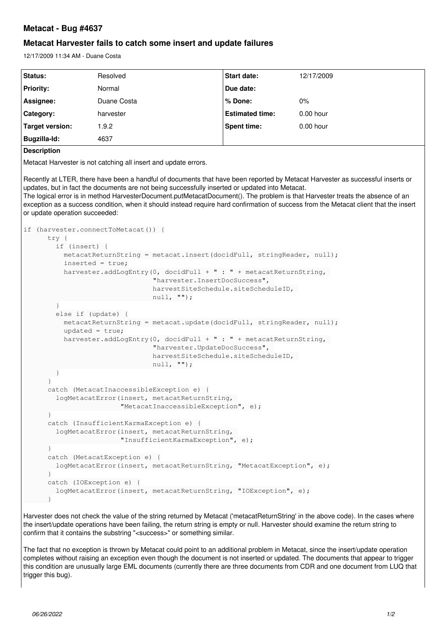# **Metacat - Bug #4637**

## **Metacat Harvester fails to catch some insert and update failures**

12/17/2009 11:34 AM - Duane Costa

| <b>Status:</b>   | Resolved    | <b>Start date:</b>     | 12/17/2009  |
|------------------|-------------|------------------------|-------------|
| <b>Priority:</b> | Normal      | Due date:              |             |
| Assignee:        | Duane Costa | ∣% Done:               | $0\%$       |
| Category:        | harvester   | <b>Estimated time:</b> | $0.00$ hour |
| Target version:  | .9.2        | <b>Spent time:</b>     | $0.00$ hour |
| Bugzilla-Id:     | 4637        |                        |             |

**Description**

Metacat Harvester is not catching all insert and update errors.

Recently at LTER, there have been a handful of documents that have been reported by Metacat Harvester as successful inserts or updates, but in fact the documents are not being successfully inserted or updated into Metacat.

The logical error is in method HarvesterDocument.putMetacatDocument(). The problem is that Harvester treats the absence of an exception as a success condition, when it should instead require hard confirmation of success from the Metacat client that the insert or update operation succeeded:

```
if (harvester.connectToMetacat()) {
       try {
            if (insert) {
      metacatReturnString = metacat.insert(docidFull, stringReader, null);
                inserted = true;
       harvester.addLogEntry(0, docidFull + " : " + metacatReturnString,
                                                                     "harvester.InsertDocSuccess", 
                                                                     harvestSiteSchedule.siteScheduleID, 
                                                                     null, "");
  }
            else if (update) {
      metacatReturnString = metacat.update(docidFull, stringReader, null);
                 updated = true;
       harvester.addLogEntry(0, docidFull + " : " + metacatReturnString,
                                                                     "harvester.UpdateDocSuccess", 
                                                                     harvestSiteSchedule.siteScheduleID, 
                                                                     null, "");
            }
}
       catch (MetacatInaccessibleException e) {
            logMetacatError(insert, metacatReturnString, 
                                               "MetacatInaccessibleException", e);
        }
       catch (InsufficientKarmaException e) {
            logMetacatError(insert, metacatReturnString, 
                                               "InsufficientKarmaException", e);
}
        catch (MetacatException e) {
    logMetacatError(insert, metacatReturnString, "MetacatException", e);
}
        catch (IOException e) {
            logMetacatError(insert, metacatReturnString, "IOException", e);
}
```
Harvester does not check the value of the string returned by Metacat ('metacatReturnString' in the above code). In the cases where the insert/update operations have been failing, the return string is empty or null. Harvester should examine the return string to confirm that it contains the substring "<success>" or something similar.

The fact that no exception is thrown by Metacat could point to an additional problem in Metacat, since the insert/update operation completes without raising an exception even though the document is not inserted or updated. The documents that appear to trigger this condition are unusually large EML documents (currently there are three documents from CDR and one document from LUQ that trigger this bug).